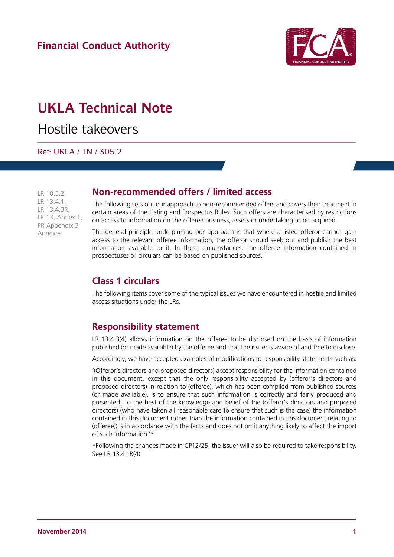

# **UKLA Technical Note**

Hostile takeovers

Ref: UKLA / TN / 305.2

LR 10.5.2, LR 13.4.1, LR 13.4.3R, LR 13, Annex 1, PR Appendix 3 Annexes

## **Non-recommended offers / limited access**

The following sets out our approach to non-recommended offers and covers their treatment in certain areas of the Listing and Prospectus Rules. Such offers are characterised by restrictions on access to information on the offeree business, assets or undertaking to be acquired.

The general principle underpinning our approach is that where a listed offeror cannot gain access to the relevant offeree information, the offeror should seek out and publish the best information available to it. In these circumstances, the offeree information contained in prospectuses or circulars can be based on published sources.

## **Class 1 circulars**

The following items cover some of the typical issues we have encountered in hostile and limited access situations under the LRs.

## **Responsibility statement**

LR 13.4.3(4) allows information on the offeree to be disclosed on the basis of information published (or made available) by the offeree and that the issuer is aware of and free to disclose.

Accordingly, we have accepted examples of modifications to responsibility statements such as:

'(Offeror's directors and proposed directors) accept responsibility for the information contained in this document, except that the only responsibility accepted by (offeror's directors and proposed directors) in relation to (offeree), which has been compiled from published sources (or made available), is to ensure that such information is correctly and fairly produced and presented. To the best of the knowledge and belief of the (offeror's directors and proposed directors) (who have taken all reasonable care to ensure that such is the case) the information contained in this document (other than the information contained in this document relating to (offeree)) is in accordance with the facts and does not omit anything likely to affect the import of such information.'\*

\*Following the changes made in CP12/25, the issuer will also be required to take responsibility. See LR 13.4.1R(4).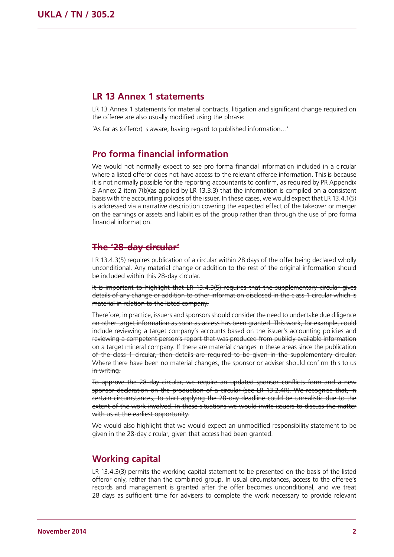#### **LR 13 Annex 1 statements**

LR 13 Annex 1 statements for material contracts, litigation and significant change required on the offeree are also usually modified using the phrase:

'As far as (offeror) is aware, having regard to published information…'

## **Pro forma financial information**

We would not normally expect to see pro forma financial information included in a circular where a listed offeror does not have access to the relevant offeree information. This is because it is not normally possible for the reporting accountants to confirm, as required by PR Appendix 3 Annex 2 item 7(b)(as applied by LR 13.3.3) that the information is compiled on a consistent basis with the accounting policies of the issuer. In these cases, we would expect that LR 13.4.1(5) is addressed via a narrative description covering the expected effect of the takeover or merger on the earnings or assets and liabilities of the group rather than through the use of pro forma financial information.

## **The '28-day circular'**

LR 13.4.3(5) requires publication of a circular within 28 days of the offer being declared wholly unconditional. Any material change or addition to the rest of the original information should be included within this 28-day circular.

It is important to highlight that LR 13.4.3(5) requires that the supplementary circular gives details of any change or addition to other information disclosed in the class 1 circular which is material in relation to the listed company.

Therefore, in practice, issuers and sponsors should consider the need to undertake due diligence on other target information as soon as access has been granted. This work, for example, could include reviewing a target company's accounts based on the issuer's accounting policies and reviewing a competent person's report that was produced from publicly available information on a target mineral company. If there are material changes in these areas since the publication of the class 1 circular, then details are required to be given in the supplementary circular. Where there have been no material changes, the sponsor or adviser should confirm this to us in writing.

To approve the 28-day circular, we require an updated sponsor conflicts form and a new sponsor declaration on the production of a circular (see LR 13.2.4R). We recognise that, in certain circumstances, to start applying the 28-day deadline could be unrealistic due to the extent of the work involved. In these situations we would invite issuers to discuss the matter with us at the earliest opportunity.

We would also highlight that we would expect an unmodified responsibility statement to be given in the 28-day circular, given that access had been granted.

#### **Working capital**

LR 13.4.3(3) permits the working capital statement to be presented on the basis of the listed offeror only, rather than the combined group. In usual circumstances, access to the offeree's records and management is granted after the offer becomes unconditional, and we treat 28 days as sufficient time for advisers to complete the work necessary to provide relevant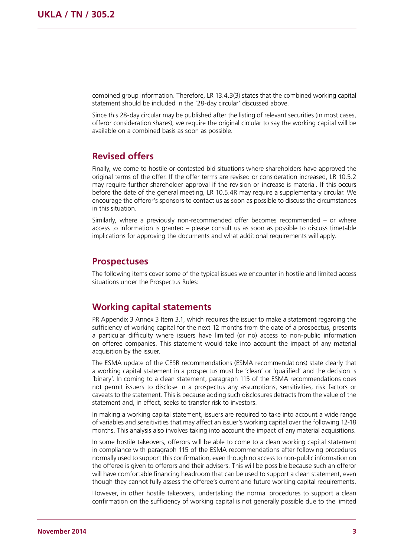combined group information. Therefore, LR 13.4.3(3) states that the combined working capital statement should be included in the '28-day circular' discussed above.

Since this 28-day circular may be published after the listing of relevant securities (in most cases, offeror consideration shares), we require the original circular to say the working capital will be available on a combined basis as soon as possible.

## **Revised offers**

Finally, we come to hostile or contested bid situations where shareholders have approved the original terms of the offer. If the offer terms are revised or consideration increased, LR 10.5.2 may require further shareholder approval if the revision or increase is material. If this occurs before the date of the general meeting, LR 10.5.4R may require a supplementary circular. We encourage the offeror's sponsors to contact us as soon as possible to discuss the circumstances in this situation.

Similarly, where a previously non-recommended offer becomes recommended – or where access to information is granted – please consult us as soon as possible to discuss timetable implications for approving the documents and what additional requirements will apply.

#### **Prospectuses**

The following items cover some of the typical issues we encounter in hostile and limited access situations under the Prospectus Rules:

## **Working capital statements**

PR Appendix 3 Annex 3 Item 3.1, which requires the issuer to make a statement regarding the sufficiency of working capital for the next 12 months from the date of a prospectus, presents a particular difficulty where issuers have limited (or no) access to non-public information on offeree companies. This statement would take into account the impact of any material acquisition by the issuer.

The ESMA update of the CESR recommendations (ESMA recommendations) state clearly that a working capital statement in a prospectus must be 'clean' or 'qualified' and the decision is 'binary'. In coming to a clean statement, paragraph 115 of the ESMA recommendations does not permit issuers to disclose in a prospectus any assumptions, sensitivities, risk factors or caveats to the statement. This is because adding such disclosures detracts from the value of the statement and, in effect, seeks to transfer risk to investors.

In making a working capital statement, issuers are required to take into account a wide range of variables and sensitivities that may affect an issuer's working capital over the following 12-18 months. This analysis also involves taking into account the impact of any material acquisitions.

In some hostile takeovers, offerors will be able to come to a clean working capital statement in compliance with paragraph 115 of the ESMA recommendations after following procedures normally used to support this confirmation, even though no access to non-public information on the offeree is given to offerors and their advisers. This will be possible because such an offeror will have comfortable financing headroom that can be used to support a clean statement, even though they cannot fully assess the offeree's current and future working capital requirements.

However, in other hostile takeovers, undertaking the normal procedures to support a clean confirmation on the sufficiency of working capital is not generally possible due to the limited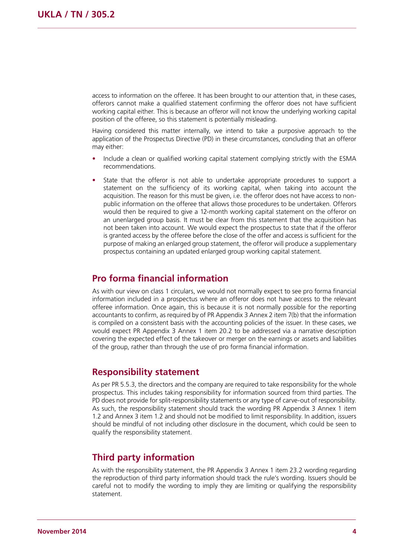access to information on the offeree. It has been brought to our attention that, in these cases, offerors cannot make a qualified statement confirming the offeror does not have sufficient working capital either. This is because an offeror will not know the underlying working capital position of the offeree, so this statement is potentially misleading.

Having considered this matter internally, we intend to take a purposive approach to the application of the Prospectus Directive (PD) in these circumstances, concluding that an offeror may either:

- Include a clean or qualified working capital statement complying strictly with the ESMA recommendations.
- State that the offeror is not able to undertake appropriate procedures to support a statement on the sufficiency of its working capital, when taking into account the acquisition. The reason for this must be given, i.e. the offeror does not have access to nonpublic information on the offeree that allows those procedures to be undertaken. Offerors would then be required to give a 12-month working capital statement on the offeror on an unenlarged group basis. It must be clear from this statement that the acquisition has not been taken into account. We would expect the prospectus to state that if the offeror is granted access by the offeree before the close of the offer and access is sufficient for the purpose of making an enlarged group statement, the offeror will produce a supplementary prospectus containing an updated enlarged group working capital statement.

## **Pro forma financial information**

As with our view on class 1 circulars, we would not normally expect to see pro forma financial information included in a prospectus where an offeror does not have access to the relevant offeree information. Once again, this is because it is not normally possible for the reporting accountants to confirm, as required by of PR Appendix 3 Annex 2 item 7(b) that the information is compiled on a consistent basis with the accounting policies of the issuer. In these cases, we would expect PR Appendix 3 Annex 1 item 20.2 to be addressed via a narrative description covering the expected effect of the takeover or merger on the earnings or assets and liabilities of the group, rather than through the use of pro forma financial information.

## **Responsibility statement**

As per PR 5.5.3, the directors and the company are required to take responsibility for the whole prospectus. This includes taking responsibility for information sourced from third parties. The PD does not provide for split-responsibility statements or any type of carve-out of responsibility. As such, the responsibility statement should track the wording PR Appendix 3 Annex 1 item 1.2 and Annex 3 item 1.2 and should not be modified to limit responsibility. In addition, issuers should be mindful of not including other disclosure in the document, which could be seen to qualify the responsibility statement.

## **Third party information**

As with the responsibility statement, the PR Appendix 3 Annex 1 item 23.2 wording regarding the reproduction of third party information should track the rule's wording. Issuers should be careful not to modify the wording to imply they are limiting or qualifying the responsibility statement.